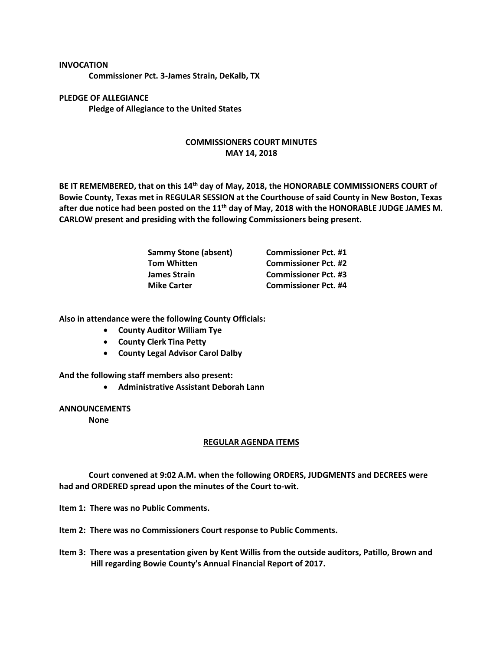## **INVOCATION**

**Commissioner Pct. 3-James Strain, DeKalb, TX**

**PLEDGE OF ALLEGIANCE Pledge of Allegiance to the United States**

## **COMMISSIONERS COURT MINUTES MAY 14, 2018**

**BE IT REMEMBERED, that on this 14th day of May, 2018, the HONORABLE COMMISSIONERS COURT of Bowie County, Texas met in REGULAR SESSION at the Courthouse of said County in New Boston, Texas after due notice had been posted on the 11th day of May, 2018 with the HONORABLE JUDGE JAMES M. CARLOW present and presiding with the following Commissioners being present.**

| <b>Sammy Stone (absent)</b> | <b>Commissioner Pct. #1</b> |
|-----------------------------|-----------------------------|
| <b>Tom Whitten</b>          | <b>Commissioner Pct. #2</b> |
| James Strain                | <b>Commissioner Pct. #3</b> |
| <b>Mike Carter</b>          | <b>Commissioner Pct. #4</b> |

**Also in attendance were the following County Officials:**

- **County Auditor William Tye**
- **County Clerk Tina Petty**
- **County Legal Advisor Carol Dalby**

**And the following staff members also present:**

• **Administrative Assistant Deborah Lann**

## **ANNOUNCEMENTS**

**None**

## **REGULAR AGENDA ITEMS**

**Court convened at 9:02 A.M. when the following ORDERS, JUDGMENTS and DECREES were had and ORDERED spread upon the minutes of the Court to-wit.**

**Item 1: There was no Public Comments.**

**Item 2: There was no Commissioners Court response to Public Comments.**

**Item 3: There was a presentation given by Kent Willis from the outside auditors, Patillo, Brown and Hill regarding Bowie County's Annual Financial Report of 2017.**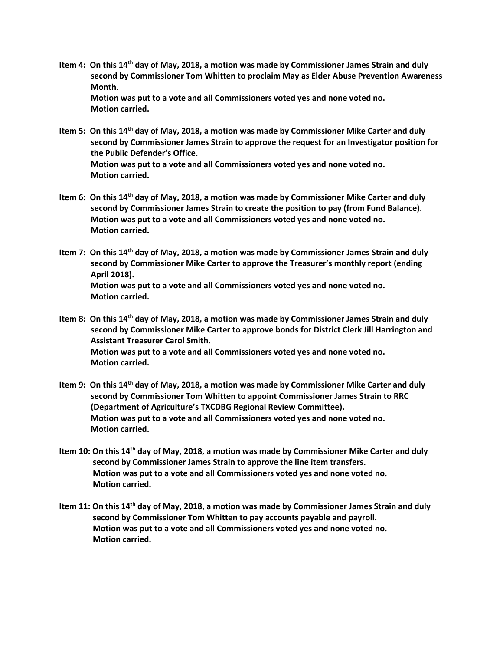- **Item 4: On this 14th day of May, 2018, a motion was made by Commissioner James Strain and duly second by Commissioner Tom Whitten to proclaim May as Elder Abuse Prevention Awareness Month. Motion was put to a vote and all Commissioners voted yes and none voted no. Motion carried.**
- **Item 5: On this 14th day of May, 2018, a motion was made by Commissioner Mike Carter and duly second by Commissioner James Strain to approve the request for an Investigator position for the Public Defender's Office. Motion was put to a vote and all Commissioners voted yes and none voted no. Motion carried.**
- **Item 6: On this 14th day of May, 2018, a motion was made by Commissioner Mike Carter and duly second by Commissioner James Strain to create the position to pay (from Fund Balance). Motion was put to a vote and all Commissioners voted yes and none voted no. Motion carried.**
- **Item 7: On this 14th day of May, 2018, a motion was made by Commissioner James Strain and duly second by Commissioner Mike Carter to approve the Treasurer's monthly report (ending April 2018). Motion was put to a vote and all Commissioners voted yes and none voted no. Motion carried.**
- **Item 8: On this 14th day of May, 2018, a motion was made by Commissioner James Strain and duly second by Commissioner Mike Carter to approve bonds for District Clerk Jill Harrington and Assistant Treasurer Carol Smith. Motion was put to a vote and all Commissioners voted yes and none voted no. Motion carried.**
- **Item 9: On this 14th day of May, 2018, a motion was made by Commissioner Mike Carter and duly second by Commissioner Tom Whitten to appoint Commissioner James Strain to RRC (Department of Agriculture's TXCDBG Regional Review Committee). Motion was put to a vote and all Commissioners voted yes and none voted no. Motion carried.**
- **Item 10: On this 14th day of May, 2018, a motion was made by Commissioner Mike Carter and duly second by Commissioner James Strain to approve the line item transfers. Motion was put to a vote and all Commissioners voted yes and none voted no. Motion carried.**
- **Item 11: On this 14th day of May, 2018, a motion was made by Commissioner James Strain and duly second by Commissioner Tom Whitten to pay accounts payable and payroll. Motion was put to a vote and all Commissioners voted yes and none voted no. Motion carried.**